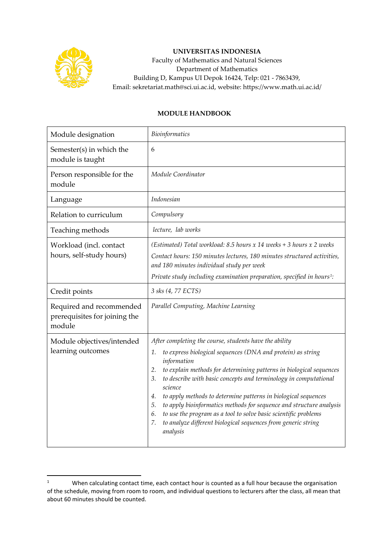

## **UNIVERSITAS INDONESIA**

Faculty of Mathematics and Natural Sciences Department of Mathematics Building D, Kampus UI Depok 16424, Telp: 021 - 7863439, Email: sekretariat.math@sci.ui.ac.id, website: https://www.math.ui.ac.id/

## **MODULE HANDBOOK**

| Module designation                                                  | Bioinformatics                                                                                                                                                                                                                                                                                                                                                                                                                                                                                                                                                                                                                |
|---------------------------------------------------------------------|-------------------------------------------------------------------------------------------------------------------------------------------------------------------------------------------------------------------------------------------------------------------------------------------------------------------------------------------------------------------------------------------------------------------------------------------------------------------------------------------------------------------------------------------------------------------------------------------------------------------------------|
| Semester(s) in which the<br>module is taught                        | 6                                                                                                                                                                                                                                                                                                                                                                                                                                                                                                                                                                                                                             |
| Person responsible for the<br>module                                | Module Coordinator                                                                                                                                                                                                                                                                                                                                                                                                                                                                                                                                                                                                            |
| Language                                                            | Indonesian                                                                                                                                                                                                                                                                                                                                                                                                                                                                                                                                                                                                                    |
| Relation to curriculum                                              | Compulsory                                                                                                                                                                                                                                                                                                                                                                                                                                                                                                                                                                                                                    |
| Teaching methods                                                    | lecture, lab works                                                                                                                                                                                                                                                                                                                                                                                                                                                                                                                                                                                                            |
| Workload (incl. contact<br>hours, self-study hours)                 | (Estimated) Total workload: 8.5 hours x 14 weeks + 3 hours x 2 weeks<br>Contact hours: 150 minutes lectures, 180 minutes structured activities,<br>and 180 minutes individual study per week<br>Private study including examination preparation, specified in hours <sup>1</sup> :                                                                                                                                                                                                                                                                                                                                            |
| Credit points                                                       | 3 sks (4, 77 ECTS)                                                                                                                                                                                                                                                                                                                                                                                                                                                                                                                                                                                                            |
| Required and recommended<br>prerequisites for joining the<br>module | Parallel Computing, Machine Learning                                                                                                                                                                                                                                                                                                                                                                                                                                                                                                                                                                                          |
| Module objectives/intended<br>learning outcomes                     | After completing the course, students have the ability<br>to express biological sequences (DNA and protein) as string<br>1.<br>information<br>to explain methods for determining patterns in biological sequences<br>2.<br>to describe with basic concepts and terminology in computational<br>3.<br>science<br>to apply methods to determine patterns in biological sequences<br>4.<br>to apply bioinformatics methods for sequence and structure analysis<br>5.<br>to use the program as a tool to solve basic scientific problems<br>6.<br>to analyze different biological sequences from generic string<br>7.<br>analysis |

<span id="page-0-0"></span><sup>&</sup>lt;sup>1</sup> When calculating contact time, each contact hour is counted as a full hour because the organisation of the schedule, moving from room to room, and individual questions to lecturers after the class, all mean that about 60 minutes should be counted.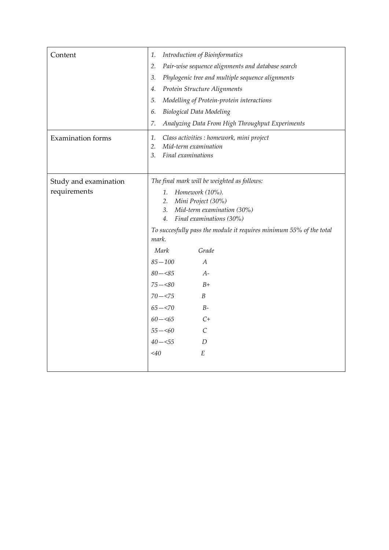| Content                  | Introduction of Bioinformatics<br>1.                                                                      |
|--------------------------|-----------------------------------------------------------------------------------------------------------|
|                          | 2.<br>Pair-wise sequence alignments and database search                                                   |
|                          | Phylogenic tree and multiple sequence alignments<br>3.                                                    |
|                          | Protein Structure Alignments<br>4.                                                                        |
|                          | 5.<br>Modelling of Protein-protein interactions                                                           |
|                          | 6.<br><b>Biological Data Modeling</b>                                                                     |
|                          | Analyzing Data From High Throughput Experiments<br>7.                                                     |
| <b>Examination</b> forms | 1.<br>Class activities : homework, mini project<br>2.<br>Mid-term examination<br>Final examinations<br>3. |
| Study and examination    | The final mark will be weighted as follows:                                                               |
| requirements             | Homework (10%).<br>1.                                                                                     |
|                          | 2.<br>Mini Project (30%)                                                                                  |
|                          | Mid-term examination (30%)<br>3.<br>Final examinations (30%)<br>4.                                        |
|                          | To succesfully pass the module it requires minimum 55% of the total<br>mark.                              |
|                          | Mark<br>Grade                                                                                             |
|                          | $85 - 100$<br>$\boldsymbol{A}$                                                                            |
|                          | $80 - 85$<br>$A-$                                                                                         |
|                          | $75 - 80$<br>$B+$                                                                                         |
|                          | $70 - 575$<br>B                                                                                           |
|                          | $65 - 570$<br>$B-$                                                                                        |
|                          | $60 - 5$<br>$C+$                                                                                          |
|                          | $\mathcal{C}$<br>$55 - 50$                                                                                |
|                          | $40 - 55$<br>D                                                                                            |
|                          | $\cal E$<br><40                                                                                           |
|                          |                                                                                                           |